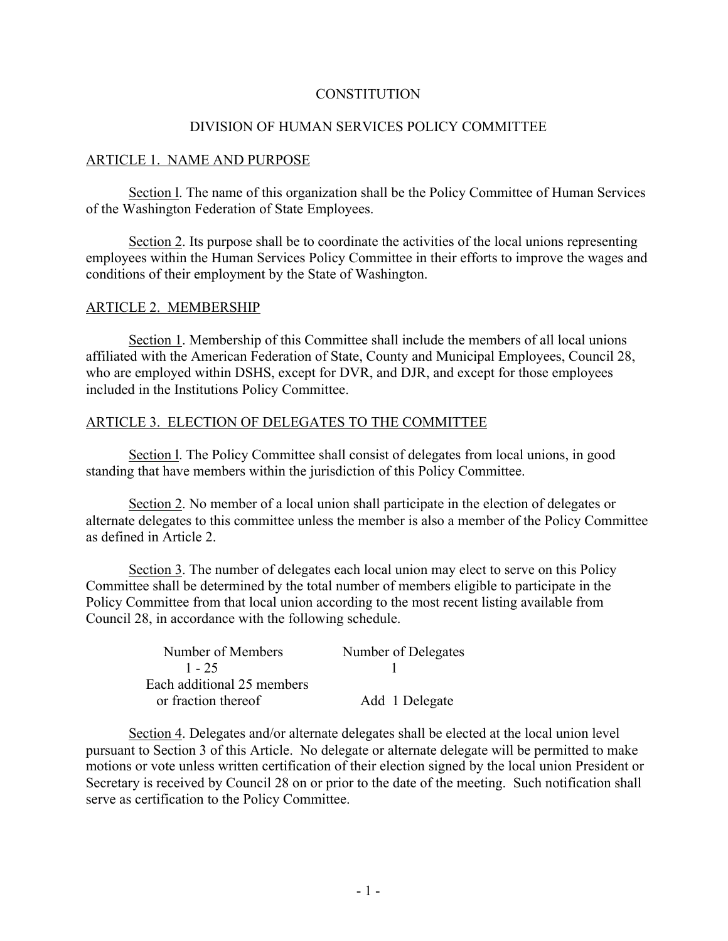## **CONSTITUTION**

## DIVISION OF HUMAN SERVICES POLICY COMMITTEE

### ARTICLE 1. NAME AND PURPOSE

Section l. The name of this organization shall be the Policy Committee of Human Services of the Washington Federation of State Employees.

Section 2. Its purpose shall be to coordinate the activities of the local unions representing employees within the Human Services Policy Committee in their efforts to improve the wages and conditions of their employment by the State of Washington.

### ARTICLE 2. MEMBERSHIP

Section 1. Membership of this Committee shall include the members of all local unions affiliated with the American Federation of State, County and Municipal Employees, Council 28, who are employed within DSHS, except for DVR, and DJR, and except for those employees included in the Institutions Policy Committee.

## ARTICLE 3. ELECTION OF DELEGATES TO THE COMMITTEE

Section l. The Policy Committee shall consist of delegates from local unions, in good standing that have members within the jurisdiction of this Policy Committee.

Section 2. No member of a local union shall participate in the election of delegates or alternate delegates to this committee unless the member is also a member of the Policy Committee as defined in Article 2.

Section 3. The number of delegates each local union may elect to serve on this Policy Committee shall be determined by the total number of members eligible to participate in the Policy Committee from that local union according to the most recent listing available from Council 28, in accordance with the following schedule.

| Number of Members          | Number of Delegates |
|----------------------------|---------------------|
| $1 - 25$                   |                     |
| Each additional 25 members |                     |
| or fraction thereof        | Add 1 Delegate      |

Section 4. Delegates and/or alternate delegates shall be elected at the local union level pursuant to Section 3 of this Article. No delegate or alternate delegate will be permitted to make motions or vote unless written certification of their election signed by the local union President or Secretary is received by Council 28 on or prior to the date of the meeting. Such notification shall serve as certification to the Policy Committee.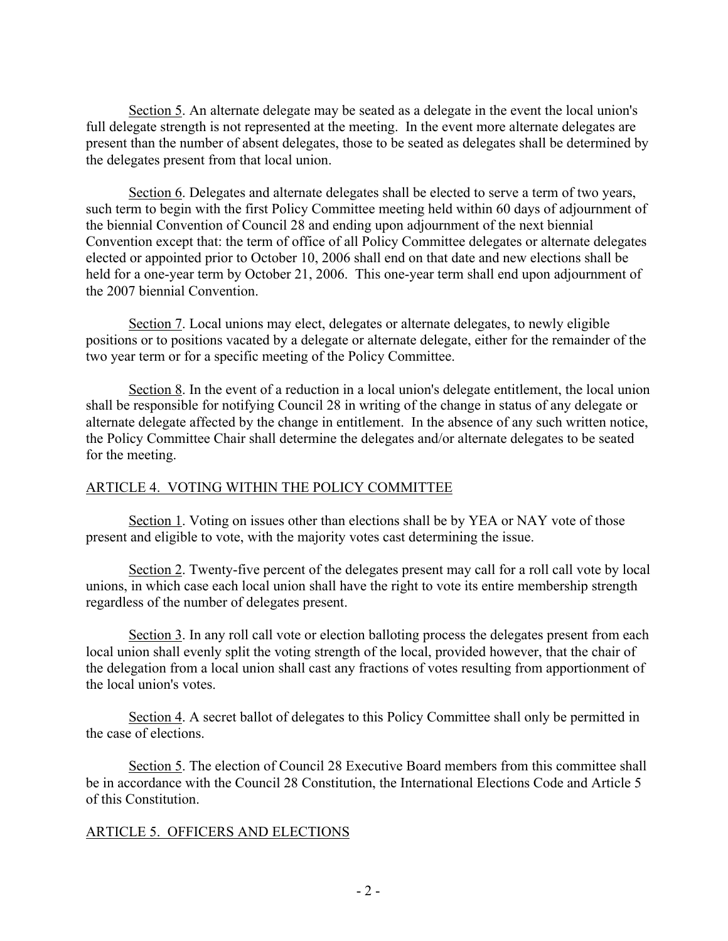Section 5. An alternate delegate may be seated as a delegate in the event the local union's full delegate strength is not represented at the meeting. In the event more alternate delegates are present than the number of absent delegates, those to be seated as delegates shall be determined by the delegates present from that local union.

Section 6. Delegates and alternate delegates shall be elected to serve a term of two years, such term to begin with the first Policy Committee meeting held within 60 days of adjournment of the biennial Convention of Council 28 and ending upon adjournment of the next biennial Convention except that: the term of office of all Policy Committee delegates or alternate delegates elected or appointed prior to October 10, 2006 shall end on that date and new elections shall be held for a one-year term by October 21, 2006. This one-year term shall end upon adjournment of the 2007 biennial Convention.

Section 7. Local unions may elect, delegates or alternate delegates, to newly eligible positions or to positions vacated by a delegate or alternate delegate, either for the remainder of the two year term or for a specific meeting of the Policy Committee.

Section 8. In the event of a reduction in a local union's delegate entitlement, the local union shall be responsible for notifying Council 28 in writing of the change in status of any delegate or alternate delegate affected by the change in entitlement. In the absence of any such written notice, the Policy Committee Chair shall determine the delegates and/or alternate delegates to be seated for the meeting.

# ARTICLE 4. VOTING WITHIN THE POLICY COMMITTEE

Section 1. Voting on issues other than elections shall be by YEA or NAY vote of those present and eligible to vote, with the majority votes cast determining the issue.

Section 2. Twenty-five percent of the delegates present may call for a roll call vote by local unions, in which case each local union shall have the right to vote its entire membership strength regardless of the number of delegates present.

Section 3. In any roll call vote or election balloting process the delegates present from each local union shall evenly split the voting strength of the local, provided however, that the chair of the delegation from a local union shall cast any fractions of votes resulting from apportionment of the local union's votes.

Section 4. A secret ballot of delegates to this Policy Committee shall only be permitted in the case of elections.

Section 5. The election of Council 28 Executive Board members from this committee shall be in accordance with the Council 28 Constitution, the International Elections Code and Article 5 of this Constitution.

# ARTICLE 5. OFFICERS AND ELECTIONS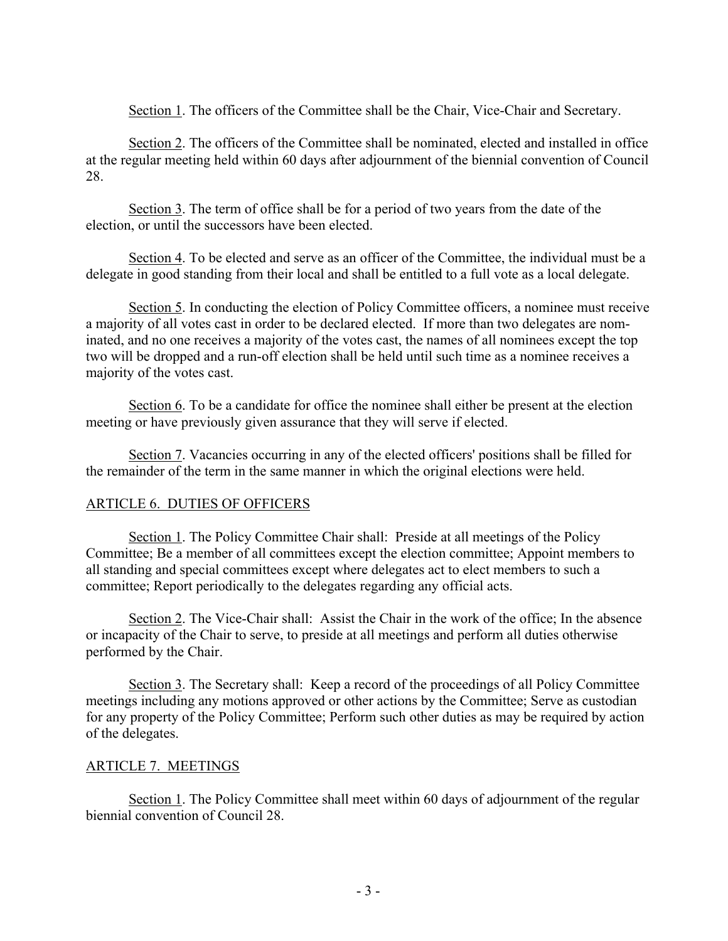Section 1. The officers of the Committee shall be the Chair, Vice-Chair and Secretary.

Section 2. The officers of the Committee shall be nominated, elected and installed in office at the regular meeting held within 60 days after adjournment of the biennial convention of Council 28.

Section 3. The term of office shall be for a period of two years from the date of the election, or until the successors have been elected.

Section 4. To be elected and serve as an officer of the Committee, the individual must be a delegate in good standing from their local and shall be entitled to a full vote as a local delegate.

Section 5. In conducting the election of Policy Committee officers, a nominee must receive a majority of all votes cast in order to be declared elected. If more than two delegates are nominated, and no one receives a majority of the votes cast, the names of all nominees except the top two will be dropped and a run-off election shall be held until such time as a nominee receives a majority of the votes cast.

Section 6. To be a candidate for office the nominee shall either be present at the election meeting or have previously given assurance that they will serve if elected.

Section 7. Vacancies occurring in any of the elected officers' positions shall be filled for the remainder of the term in the same manner in which the original elections were held.

# ARTICLE 6. DUTIES OF OFFICERS

Section 1. The Policy Committee Chair shall: Preside at all meetings of the Policy Committee; Be a member of all committees except the election committee; Appoint members to all standing and special committees except where delegates act to elect members to such a committee; Report periodically to the delegates regarding any official acts.

Section 2. The Vice-Chair shall: Assist the Chair in the work of the office; In the absence or incapacity of the Chair to serve, to preside at all meetings and perform all duties otherwise performed by the Chair.

Section 3. The Secretary shall: Keep a record of the proceedings of all Policy Committee meetings including any motions approved or other actions by the Committee; Serve as custodian for any property of the Policy Committee; Perform such other duties as may be required by action of the delegates.

# ARTICLE 7. MEETINGS

Section 1. The Policy Committee shall meet within 60 days of adjournment of the regular biennial convention of Council 28.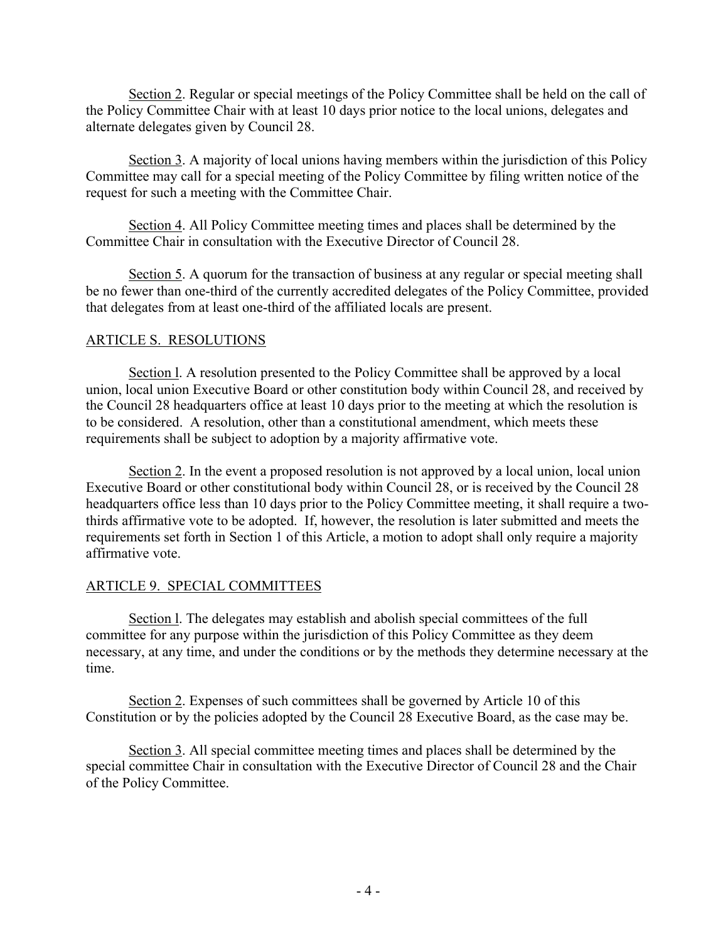Section 2. Regular or special meetings of the Policy Committee shall be held on the call of the Policy Committee Chair with at least 10 days prior notice to the local unions, delegates and alternate delegates given by Council 28.

Section 3. A majority of local unions having members within the jurisdiction of this Policy Committee may call for a special meeting of the Policy Committee by filing written notice of the request for such a meeting with the Committee Chair.

Section 4. All Policy Committee meeting times and places shall be determined by the Committee Chair in consultation with the Executive Director of Council 28.

Section 5. A quorum for the transaction of business at any regular or special meeting shall be no fewer than one-third of the currently accredited delegates of the Policy Committee, provided that delegates from at least one-third of the affiliated locals are present.

## ARTICLE S. RESOLUTIONS

Section l. A resolution presented to the Policy Committee shall be approved by a local union, local union Executive Board or other constitution body within Council 28, and received by the Council 28 headquarters office at least 10 days prior to the meeting at which the resolution is to be considered. A resolution, other than a constitutional amendment, which meets these requirements shall be subject to adoption by a majority affirmative vote.

Section 2. In the event a proposed resolution is not approved by a local union, local union Executive Board or other constitutional body within Council 28, or is received by the Council 28 headquarters office less than 10 days prior to the Policy Committee meeting, it shall require a twothirds affirmative vote to be adopted. If, however, the resolution is later submitted and meets the requirements set forth in Section 1 of this Article, a motion to adopt shall only require a majority affirmative vote.

# ARTICLE 9. SPECIAL COMMITTEES

Section l. The delegates may establish and abolish special committees of the full committee for any purpose within the jurisdiction of this Policy Committee as they deem necessary, at any time, and under the conditions or by the methods they determine necessary at the time.

Section 2. Expenses of such committees shall be governed by Article 10 of this Constitution or by the policies adopted by the Council 28 Executive Board, as the case may be.

Section 3. All special committee meeting times and places shall be determined by the special committee Chair in consultation with the Executive Director of Council 28 and the Chair of the Policy Committee.